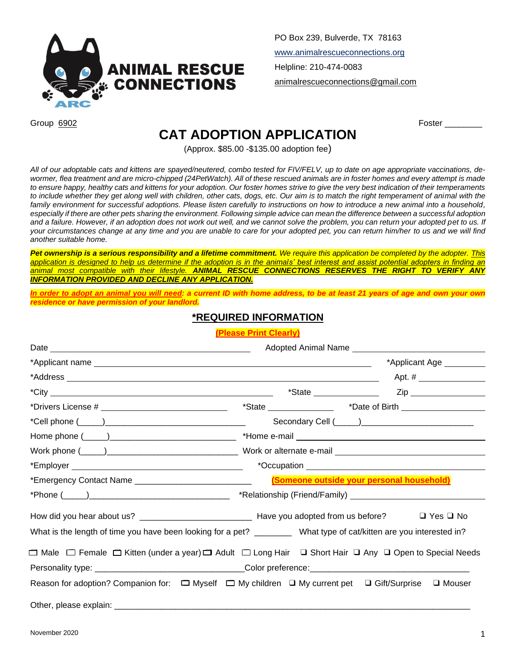

PO Box 239, Bulverde, TX 78163 www.animalrescueconnections.org Helpline: 210-474-0083 animalrescueconnections@gmail.com

Group 6902 Foster \_\_\_\_\_\_\_\_

## **CAT ADOPTION APPLICATION**

(Approx. \$85.00 -\$135.00 adoption fee)

*All of our adoptable cats and kittens are spayed/neutered, combo tested for FIV/FELV, up to date on age appropriate vaccinations, de*wormer, flea treatment and are micro-chipped (24PetWatch). All of these rescued animals are in foster homes and every attempt is made *to ensure happy, healthy cats and kittens for your adoption. Our foster homes strive to give the very best indication of their temperaments to include whether they get along well with children, other cats, dogs, etc. Our aim is to match the right temperament of animal with the family environment for successful adoptions. Please listen carefully to instructions on how to introduce a new animal into a household, especially if there are other pets sharing the environment. Following simple advice can mean the difference between a successful adoption*  and a failure. However, if an adoption does not work out well, and we cannot solve the problem, you can return your adopted pet to us. If *your circumstances change at any time and you are unable to care for your adopted pet, you can return him/her to us and we will find another suitable home.*

*Pet ownership is a serious responsibility and a lifetime commitment. We require this application be completed by the adopter. This application is designed to help us determine if the adoption is in the animals' best interest and assist potential adopters in finding an animal most compatible with their lifestyle. ANIMAL RESCUE CONNECTIONS RESERVES THE RIGHT TO VERIFY ANY INFORMATION PROVIDED AND DECLINE ANY APPLICATION.*

*In order to adopt an animal you will need: a current ID with home address, to be at least 21 years of age and own your own residence or have permission of your landlord.*

## **\*REQUIRED INFORMATION**

**(Please Print Clearly)**

|                                                                                                                                                 | *Applicant Age _________                             |
|-------------------------------------------------------------------------------------------------------------------------------------------------|------------------------------------------------------|
|                                                                                                                                                 |                                                      |
|                                                                                                                                                 | $*$ State $\qquad \qquad \qquad$ Zip $\qquad \qquad$ |
|                                                                                                                                                 |                                                      |
|                                                                                                                                                 |                                                      |
|                                                                                                                                                 |                                                      |
|                                                                                                                                                 |                                                      |
|                                                                                                                                                 |                                                      |
|                                                                                                                                                 |                                                      |
|                                                                                                                                                 |                                                      |
| What is the length of time you have been looking for a pet? _________ What type of cat/kitten are you interested in?                            |                                                      |
|                                                                                                                                                 |                                                      |
| □ Male □ Female □ Kitten (under a year)□ Adult □ Long Hair □ Short Hair □ Any □ Open to Special Needs                                           |                                                      |
| Personality type: __________________________________Color preference:_______________________________                                            |                                                      |
| Reason for adoption? Companion for:<br>$\square$ Myself $\square$ My children $\square$ My current pet $\square$ Gift/Surprise $\square$ Mouser |                                                      |
|                                                                                                                                                 |                                                      |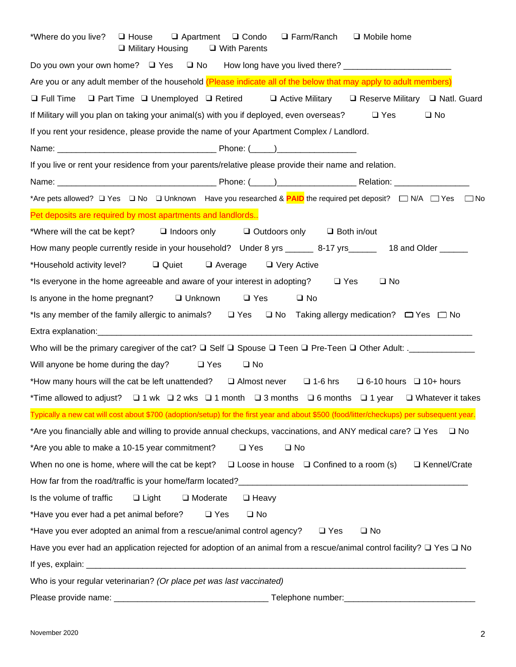| *Where do you live?<br>$\Box$ Mobile home<br>$\Box$ House<br>$\Box$ Apartment<br>$\Box$ Condo<br>$\Box$ Farm/Ranch<br>□ Military Housing<br>$\Box$ With Parents |
|-----------------------------------------------------------------------------------------------------------------------------------------------------------------|
| Do you own your own home? □ Yes □ No How long have you lived there? ____________________                                                                        |
| Are you or any adult member of the household (Please indicate all of the below that may apply to adult members)                                                 |
| □ Full Time □ Part Time □ Unemployed □ Retired □ Active Military □ Reserve Military □ Natl. Guard                                                               |
| $\square$ No<br>If Military will you plan on taking your animal(s) with you if deployed, even overseas?<br>$\Box$ Yes                                           |
| If you rent your residence, please provide the name of your Apartment Complex / Landlord.                                                                       |
|                                                                                                                                                                 |
| If you live or rent your residence from your parents/relative please provide their name and relation.                                                           |
|                                                                                                                                                                 |
| *Are pets allowed? □ Yes □ No □ Unknown Have you researched & <b>PAID</b> the required pet deposit? □ N/A □ Yes □ No                                            |
| Pet deposits are required by most apartments and landlords                                                                                                      |
| *Where will the cat be kept? $\Box$ Indoors only $\Box$ Outdoors only $\Box$ Both in/out                                                                        |
| How many people currently reside in your household? Under 8 yrs ______ 8-17 yrs ______ 18 and Older _____                                                       |
| Quiet<br>*Household activity level?<br>$\Box$ Average $\Box$ Very Active                                                                                        |
| *Is everyone in the home agreeable and aware of your interest in adopting? $\square$ Yes<br>$\Box$ No                                                           |
| Is anyone in the home pregnant? $\Box$ Unknown<br>$\Box$ Yes<br>$\square$ No                                                                                    |
| *Is any member of the family allergic to animals?<br>□ Yes □ No Taking allergy medication? □ Yes □ No                                                           |
|                                                                                                                                                                 |
|                                                                                                                                                                 |
| Will anyone be home during the day?<br>$\square$ No<br>$\Box$ Yes                                                                                               |
| *How many hours will the cat be left unattended? $\square$ Almost never $\square$ 1-6 hrs $\square$ 6-10 hours $\square$ 10+ hours                              |
| *Time allowed to adjust? $\Box$ 1 wk $\Box$ 2 wks $\Box$ 1 month $\Box$ 3 months $\Box$ 6 months $\Box$ 1 year $\Box$ Whatever it takes                         |
| Typically a new cat will cost about \$700 (adoption/setup) for the first year and about \$500 (food/litter/checkups) per subsequent year.                       |
| *Are you financially able and willing to provide annual checkups, vaccinations, and ANY medical care? $\square$ Yes<br>$\Box$ No                                |
| *Are you able to make a 10-15 year commitment?<br>$\Box$ Yes<br>$\square$ No                                                                                    |
| □ Kennel/Crate<br>When no one is home, where will the cat be kept?<br>$\Box$ Loose in house $\Box$ Confined to a room (s)                                       |
|                                                                                                                                                                 |
| $\Box$ Light<br>Is the volume of traffic<br>$\Box$ Moderate<br>$\Box$ Heavy                                                                                     |
| *Have you ever had a pet animal before?<br>$\Box$ Yes<br>$\square$ No                                                                                           |
| *Have you ever adopted an animal from a rescue/animal control agency?<br>$\Box$ Yes<br>$\square$ No                                                             |
| Have you ever had an application rejected for adoption of an animal from a rescue/animal control facility? $\Box$ Yes $\Box$ No                                 |
|                                                                                                                                                                 |
| Who is your regular veterinarian? (Or place pet was last vaccinated)                                                                                            |
|                                                                                                                                                                 |